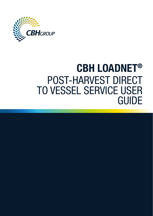

# CBH LOADNET® POST-HARVEST DIRECT TO VESSEL SERVICE USER GUIDE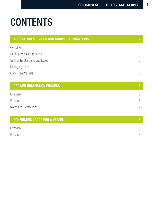# **CONTENTS**

| <b>ACQUISITION SERVICES AND GROWER NOMINATIONS</b> | $\overline{2}$ |
|----------------------------------------------------|----------------|
| Overview                                           | $\overline{c}$ |
| Direct to Vessel Target Date                       | $\overline{c}$ |
| Setting the Start and End Dates                    | 3              |
| Managing Limits                                    | 4              |
| <b>Concurrent Vessels</b>                          | 5              |
| <b>GROWER NOMINATION PROCESS</b>                   | 6              |
| Overview                                           | 6              |
| Process                                            | 6              |
| Notes and Restrictions                             | 7              |
| <b>CONFIRMING LOADS FOR A VESSEL</b>               | 8              |
| Overview                                           | 8              |
| Process                                            | 8              |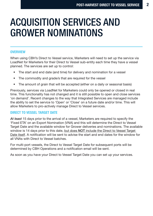## ACQUISITION SERVICES AND GROWER NOMINATIONS

### **OVERVIEW**

When using CBH's Direct to Vessel service, Marketers will need to set up the service via LoadNet for Marketers for their Direct to Vessel sub-entity each time they have a vessel planned. The services are set up to control:

- The start and end date (and time) for delivery and nomination for a vessel
- The commodity and grade/s that are required for the vessel
- The amount of grain that will be accepted (either on a daily or seasonal basis)

Previously, services via LoadNet for Marketers could only be opened or closed in real time. This functionality has not changed and it is still possible to open and close services 'on demand'. Recent changes to the way that Integrated Services are managed include the ability to set the service to 'Open' or 'Close' on a future date and/or time. This will allow Marketers to pro-actively manage Direct to Vessel services.

### DIRECT TO VESSEL TARGET DATE

*At least* 15 days prior to the arrival of a vessel, Marketers are required to specify the 'Fixed ETA' on an Export Nomination (VNA) and this will determine the Direct to Vessel Target Date and the available window for Grower deliveries and nominations. The available window is 14 days prior to this date, but does NOT include the Direct to Vessel Target Date itself. A notification will be sent to advise the start and end dates for the window for all VNAs with Direct to Vessel batches.

For multi-port vessels, the Direct to Vessel Target Date for subsequent ports will be determined by CBH Operations and a notification email will be sent.

As soon as you have your Direct to Vessel Target Date you can set up your services.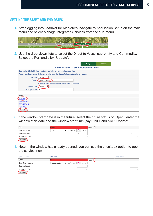### SETTING THE START AND END DATES

1. After logging into LoadNet for Marketers, navigate to Acquisition Setup on the main menu and select Manage Integrated Services from the sub-menu.



2. Use the drop-down lists to select the Direct to Vessel sub-entity and Commodity. Select the Port and click 'Update'.

| Daily<br>Seasonal                                                                                   |  |
|-----------------------------------------------------------------------------------------------------|--|
| <b>Service Status &amp; Daily Accumulation Limits</b>                                               |  |
| Seasonal and Daily Limits are mutually exclusive and are checked separately.                        |  |
| Please note: Opening and closing zones will change the status of all destination sites in the zone. |  |
| Season: 2016/17 v                                                                                   |  |
| Owner: Direct to Vessel<br>$\boldsymbol{\mathrm{v}}$                                                |  |
| A zero limit indicates that there is no limit checking required.                                    |  |
| Commodity: Canola                                                                                   |  |
| Storage Grade:<br><b>ALL</b><br>$\pmb{\mathrm{v}}$                                                  |  |
|                                                                                                     |  |
| Zone                                                                                                |  |
| <b>ALBANY</b>                                                                                       |  |
| <b>ESPERANCE</b>                                                                                    |  |
| <b>GERALDTON</b>                                                                                    |  |
| <b>KWINANA</b>                                                                                      |  |
| Update                                                                                              |  |

3. If the window start date is in the future, select the future status of 'Open', enter the window start date and the window start time (say 01:00) and click 'Update'.

| CAN1                 | <b>Closed</b> | Open $\Box$      |          |
|----------------------|---------------|------------------|----------|
| Enter future status: | Open          | 0100<br>03/10/16 |          |
| Seasonal Limit:      |               |                  | 0        |
| Nominated YTD:       |               |                  | $\Omega$ |
| Update               |               |                  |          |

4. Note: If the window has already opened, you can use the checkbox option to open the service 'now'.

| <b>Service Entry</b> | <b>ALBANY</b>                                   |             | <b>Zone Totals</b> |
|----------------------|-------------------------------------------------|-------------|--------------------|
| CAN1                 | <b>Closed</b>                                   | Open<br>ىسا |                    |
| Enter future status: | --select status--<br>hhmm<br>−<br>dd/mm/yy<br>۰ |             |                    |
| Seasonal Limit:      |                                                 |             |                    |
| Nominated YTD:       |                                                 |             |                    |
| Update               |                                                 |             |                    |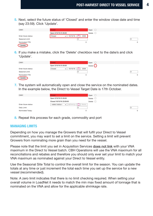5. Next, select the future status of 'Closed' and enter the window close date and time (say 23:59). Click 'Update'.

| CAN1                 | <b>Closed</b>         |                       | Open<br>ட |  |
|----------------------|-----------------------|-----------------------|-----------|--|
|                      | Open 3/10/16 01:00:00 |                       | Delete    |  |
| Enter future status: | Closed                | 2359<br>16/10/16<br>۰ |           |  |
| Seasonal Limit:      |                       |                       |           |  |
| Nominated YTD:       |                       |                       |           |  |
| Update               |                       |                       |           |  |

6. If you make a mistake, click the 'Delete' checkbox next to the date/s and click 'Update'.

| CAN <sub>1</sub>     | <b>Closed</b>         |                  | Open                |            |
|----------------------|-----------------------|------------------|---------------------|------------|
|                      | Open 3/10/16 01:00:00 |                  | Delete <sup>[</sup> |            |
| Enter future status: | Closed                | 16/10/16<br>2359 |                     |            |
| Seasonal Limit:      |                       |                  |                     | $\circ$    |
| Nominated YTD:       |                       |                  | 0                   | $^{\circ}$ |
| Update               |                       |                  |                     |            |

7. The system will automatically open and close the service on the nominated dates. In the example below, the Direct to Vessel Target Date is 17th October.

| CAN <sub>1</sub>     | <b>Closed</b>                                   | Open    |
|----------------------|-------------------------------------------------|---------|
|                      | Open 3/10/16 01:00:00                           | Delete  |
|                      | Closed 16/10/16 23:59:00                        | Delete  |
| Enter future status: | ÷<br>hhmm<br>dd/mm/yy<br>--select status--<br>٠ |         |
| Daily Limit:         | $\sqrt{2}$                                      | $\circ$ |
| Nominated Today:     | 0                                               | 0       |

8. Repeat this process for each grade, commodity and port

### MANAGING LIMITS

Depending on how you manage the Growers that will fulfil your Direct to Vessel commitment, you may want to set a limit on the service. Setting a limit will prevent Growers from nominating more grain than you need for the vessel.

Please note that the limit you set in Acquisition Services does not link with your VNA maximum in the Direct to Vessel batch. CBH Operations will use the VNA maximum for all reconciliations and rebates and therefore you should only ever set your limit to match your VNA maximum as nominated against your Direct to Vessel entity.

Use the Seasonal Site Total to control the overall limit for the season. You can update the totals at any time or just increment the total each time you set up the service for a new vessel (recommended).

Note: A zero limit indicates that there is no limit checking required. When setting your overall volume in LoadNet it needs to match the min max fixed amount of tonnage that is nominated on the VNA and allow for the applicable shrinkage rate.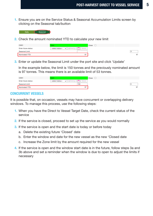1. Ensure you are on the Service Status & Seasonal Accumulation Limits screen by clicking on the Seasonal tab/button



2. Check the amount nominated YTD to calculate your new limit

| CAN1                 | <b>Open</b>                           | Close |
|----------------------|---------------------------------------|-------|
| Enter future status: | --select status--<br>dd/mm/vv<br>hhmm |       |
| Seasonal Limit:      |                                       | O     |
| Nominated YTD:       | 97                                    |       |

3. Enter or update the Seasonal Limit under the port site and click 'Update'

 In the example below, the limit is 150 tonnes and the previously nominated amount is 97 tonnes. This means there is an available limit of 53 tonnes.

| CAN1                 | Open                                  | Close |    |
|----------------------|---------------------------------------|-------|----|
| Enter future status: | --select status--<br>hhmm<br>dd/mm/vv |       |    |
| Seasonal Limit:      | 150                                   |       | 10 |
| Nominated YTD:       | 97                                    |       | 97 |

### CONCURRENT VESSELS

It is possible that, on occasion, vessels may have concurrent or overlapping delivery windows. To manage this process, use the following steps:

- 1. When you have the Direct to Vessel Target Date, check the current status of the service
- 2. If the service is closed, proceed to set up the service as you would normally
- 3. If the service is open and the start date is today or before today
	- a. Delete the existing future 'Closed' date
	- b. Enter the window end date for the new vessel as the new 'Closed date
	- c. Increase the Zone limit by the amount required for the new vessel
- 4. If the service is open and the window start date is in the future, follow steps 3a and 3b above and set a reminder when the window is due to open to adjust the limits if necessary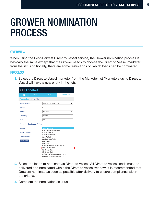### GROWER NOMINATION PROCESS

#### **OVERVIEW**

When using the Post-Harvest Direct to Vessel service, the Grower nomination process is basically the same except that the Grower needs to choose the Direct to Vessel marketer from the list. Additionally, there are some restrictions on which loads can be nominated.

### PROCESS

1. Select the Direct to Vessel marketer from the Marketer list (Marketers using Direct to Vessel will have a new entity in the list).



- 2. Select the loads to nominate as Direct to Vessel. All Direct to Vessel loads must be delivered and nominated within the Direct to Vessel window. It is recommended that Growers nominate as soon as possible after delivery to ensure compliance within the criteria.
- 3. Complete the nomination as usual.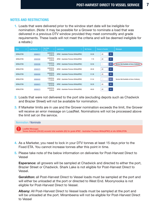### NOTES AND RESTRICTIONS

1. Loads that were delivered prior to the window start date will be ineligible for nomination. (Note: it may be possible for a Grower to nominate a load that was delivered in a previous DTV window provided they meet commodity and grade requirements. These loads will not meet the criteria and will be deemed ineligible for a rebate.)

| <b>Sites</b>     | Load Number $\Diamond$<br>Ò. | <b>Tare Date</b><br>Ŏ.<br>& Time | ю.<br><b>Load Grade</b>               | Net Tonnes | <b>Tonnes to Transfer</b> | <b>Messages</b>                           |
|------------------|------------------------------|----------------------------------|---------------------------------------|------------|---------------------------|-------------------------------------------|
| <b>GERALDTON</b> | 30500217                     | 8/09/2016<br>0:09:30             | APW2 - Australian Premium White(APW2) | 53.58      | All<br>.00                |                                           |
| <b>GERALDTON</b> | 30500300                     | 8/09/2016<br>0:09:00             | APW2 - Australian Premium White(APW2) | 7.78       | All<br>.00.               |                                           |
| <b>GERALDTON</b> | 30500306                     | 7/09/2016<br>0:14:00             | APW2 - Australian Premium White(APW2) | 52.56      | All<br>.00                | Service Not Available at time of delivery |
| GERALDTON        | 30500375                     | 8/09/2016<br>0:09:00             | APW2 - Australian Premium White(APW2) | 49.38      | All<br>.00.               |                                           |
| <b>GERALDTON</b> | 30500393                     | 8/09/2016<br>8:00:53             | APW2 - Australian Premium White(APW2) | 51.38      | All<br>.00                |                                           |
| <b>GERALDTON</b> | 30500433                     | 1/09/2016<br>11:54:04            | APW2 - Australian Premium White(APW2) | 51.54      | All<br>.00                | Service Not Available at time of delivery |
| <b>GERALDTON</b> | 30500675                     | 7/09/2016<br>18:32:08            | APW2 - Australian Premium White(APW2) | 50.28      | .00<br>All                |                                           |
| GERALDTON        | 30550273                     | 8/09/2016<br>0:09:00             | APW2 - Australian Premium White(APW2) | 46.00      | All<br>.00.               |                                           |

- 2. Loads that were not delivered to the port site (excluding depots such as Chadwick and Brazier Street) will not be available for nomination.
- 3. If Marketer limits are in use and the Grower nomination exceeds the limit, the Grower will receive an error message on LoadNet. Nominations will not be processed above the limit set on the service.



- 4. As a Marketer, you need to lock in your DTV tonnes at least 15 days prior to the Fixed ETA. You cannot increase tonnes after this point in time.
- 5. Please take note of the below information on deliveries for Post-Harvest Direct to Vessel

Esperance: all growers will be sampled at Chadwick and directed to either the port, Brazier Street or Chadwick. Shark Lake is not eligible for Post-Harvest Direct to Vessel.

Geraldton: all Post-Harvest Direct to Vessel loads must be sampled at the port and will either be unloaded at the port or directed to West End. Moonynooka is not eligible for Post-Harvest Direct to Vessel.

Albany: All Post-Harvest Direct to Vessel loads must be sampled at the port and will be unloaded at the port. Mirambeena will not be eligible for Post-Harvest Direct to Vessel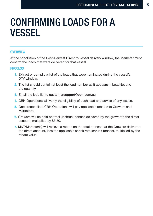## CONFIRMING LOADS FOR A VESSEL

### **OVERVIEW**

At the conclusion of the Post-Harvest Direct to Vessel delivery window, the Marketer must confirm the loads that were delivered for that vessel.

### PROCESS

- 1. Extract or compile a list of the loads that were nominated during the vessel's DTV window.
- 2. The list should contain at least the load number as it appears in LoadNet and the quantity.
- 3. Email the load list to customersupport@cbh.com.au
- 4. CBH Operations will verify the eligibility of each load and advise of any issues.
- 5. Once reconciled, CBH Operations will pay applicable rebates to Growers and **Marketers**
- 6. Growers will be paid on total unshrunk tonnes delivered by the grower to the direct account, multiplied by \$3.80.
- 7. M&T/Marketer(s) will recieve a rebate on the total tonnes that the Growers deliver to the direct account, less the applicable shrink rate (shrunk tonnes), multiplied by the rebate value.